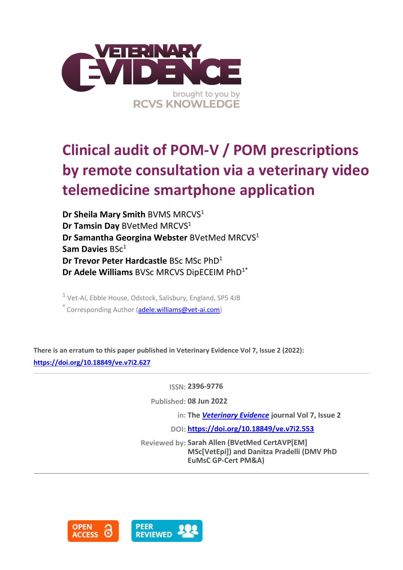

# **Clinical audit of POM-V / POM prescriptions by remote consultation via a veterinary video telemedicine smartphone application**

**Dr Sheila Mary Smith BVMS MRCVS1 Dr Tamsin Day** BVetMed MRCVS<sup>1</sup> **Dr Samantha Georgina Webster** BVetMed MRCVS<sup>1</sup> **Sam Davies** BSc<sup>1</sup> **Dr Trevor Peter Hardcastle** BSc MSc PhD<sup>1</sup> **Dr Adele Williams** BVSc MRCVS DipECEIM PhD1\*

<sup>1</sup> Vet-AI, Ebble House, Odstock, Salisbury, England, SP5 4JB \* Corresponding Author [\(adele.williams@vet-ai.com\)](adele.williams@vet-ai.com)

**There is an erratum to this paper published in Veterinary Evidence Vol 7, Issue 2 (2022): <https://doi.org/10.18849/ve.v7i2.627>**

**ISSN: 2396-9776**

**Published: 08 Jun 2022**

**in: The** *[Veterinary Evidence](https://veterinaryevidence.org/index.php/ve)* **journal Vol 7, Issue 2**

**DOI: <https://doi.org/10.18849/ve.v7i2.553>**

**Reviewed by: Sarah Allen (BVetMed CertAVP[EM] MSc[VetEpi]) and Danitza Pradelli (DMV PhD EuMsC GP-Cert PM&A)**



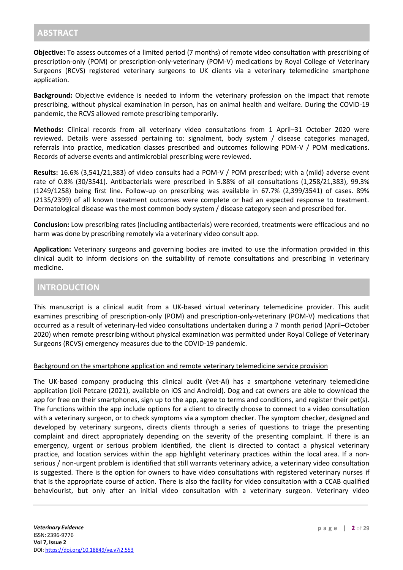**Objective:** To assess outcomes of a limited period (7 months) of remote video consultation with prescribing of prescription-only (POM) or prescription-only-veterinary (POM-V) medications by Royal College of Veterinary Surgeons (RCVS) registered veterinary surgeons to UK clients via a veterinary telemedicine smartphone application.

**Background:** Objective evidence is needed to inform the veterinary profession on the impact that remote prescribing, without physical examination in person, has on animal health and welfare. During the COVID-19 pandemic, the RCVS allowed remote prescribing temporarily.

**Methods:** Clinical records from all veterinary video consultations from 1 April–31 October 2020 were reviewed. Details were assessed pertaining to: signalment, body system / disease categories managed, referrals into practice, medication classes prescribed and outcomes following POM-V / POM medications. Records of adverse events and antimicrobial prescribing were reviewed.

**Results:** 16.6% (3,541/21,383) of video consults had a POM-V / POM prescribed; with a (mild) adverse event rate of 0.8% (30/3541). Antibacterials were prescribed in 5.88% of all consultations (1,258/21,383), 99.3% (1249/1258) being first line. Follow-up on prescribing was available in 67.7% (2,399/3541) of cases. 89% (2135/2399) of all known treatment outcomes were complete or had an expected response to treatment. Dermatological disease was the most common body system / disease category seen and prescribed for.

**Conclusion:** Low prescribing rates (including antibacterials) were recorded, treatments were efficacious and no harm was done by prescribing remotely via a veterinary video consult app.

**Application:** Veterinary surgeons and governing bodies are invited to use the information provided in this clinical audit to inform decisions on the suitability of remote consultations and prescribing in veterinary medicine.

# **INTRODUCTION**

This manuscript is a clinical audit from a UK-based virtual veterinary telemedicine provider. This audit examines prescribing of prescription-only (POM) and prescription-only-veterinary (POM-V) medications that occurred as a result of veterinary-led video consultations undertaken during a 7 month period (April–October 2020) when remote prescribing without physical examination was permitted under Royal College of Veterinary Surgeons (RCVS) emergency measures due to the COVID-19 pandemic.

#### Background on the smartphone application and remote veterinary telemedicine service provision

The UK-based company producing this clinical audit (Vet-AI) has a smartphone veterinary telemedicine application (Joii Petcare (2021), available on iOS and Android). Dog and cat owners are able to download the app for free on their smartphones, sign up to the app, agree to terms and conditions, and register their pet(s). The functions within the app include options for a client to directly choose to connect to a video consultation with a veterinary surgeon, or to check symptoms via a symptom checker. The symptom checker, designed and developed by veterinary surgeons, directs clients through a series of questions to triage the presenting complaint and direct appropriately depending on the severity of the presenting complaint. If there is an emergency, urgent or serious problem identified, the client is directed to contact a physical veterinary practice, and location services within the app highlight veterinary practices within the local area. If a nonserious / non-urgent problem is identified that still warrants veterinary advice, a veterinary video consultation is suggested. There is the option for owners to have video consultations with registered veterinary nurses if that is the appropriate course of action. There is also the facility for video consultation with a CCAB qualified behaviourist, but only after an initial video consultation with a veterinary surgeon. Veterinary video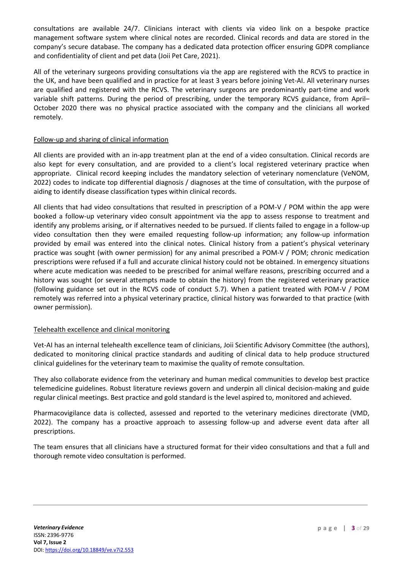consultations are available 24/7. Clinicians interact with clients via video link on a bespoke practice management software system where clinical notes are recorded. Clinical records and data are stored in the company's secure database. The company has a dedicated data protection officer ensuring GDPR compliance and confidentiality of client and pet data (Joii Pet Care, 2021).

All of the veterinary surgeons providing consultations via the app are registered with the RCVS to practice in the UK, and have been qualified and in practice for at least 3 years before joining Vet-AI. All veterinary nurses are qualified and registered with the RCVS. The veterinary surgeons are predominantly part-time and work variable shift patterns. During the period of prescribing, under the temporary RCVS guidance, from April– October 2020 there was no physical practice associated with the company and the clinicians all worked remotely.

#### Follow-up and sharing of clinical information

All clients are provided with an in-app treatment plan at the end of a video consultation. Clinical records are also kept for every consultation, and are provided to a client's local registered veterinary practice when appropriate. Clinical record keeping includes the mandatory selection of veterinary nomenclature (VeNOM, 2022) codes to indicate top differential diagnosis / diagnoses at the time of consultation, with the purpose of aiding to identify disease classification types within clinical records.

All clients that had video consultations that resulted in prescription of a POM-V / POM within the app were booked a follow-up veterinary video consult appointment via the app to assess response to treatment and identify any problems arising, or if alternatives needed to be pursued. If clients failed to engage in a follow-up video consultation then they were emailed requesting follow-up information; any follow-up information provided by email was entered into the clinical notes. Clinical history from a patient's physical veterinary practice was sought (with owner permission) for any animal prescribed a POM-V / POM; chronic medication prescriptions were refused if a full and accurate clinical history could not be obtained. In emergency situations where acute medication was needed to be prescribed for animal welfare reasons, prescribing occurred and a history was sought (or several attempts made to obtain the history) from the registered veterinary practice (following guidance set out in the RCVS code of conduct 5.7). When a patient treated with POM-V / POM remotely was referred into a physical veterinary practice, clinical history was forwarded to that practice (with owner permission).

#### Telehealth excellence and clinical monitoring

Vet-AI has an internal telehealth excellence team of clinicians, Joii Scientific Advisory Committee (the authors), dedicated to monitoring clinical practice standards and auditing of clinical data to help produce structured clinical guidelines for the veterinary team to maximise the quality of remote consultation.

They also collaborate evidence from the veterinary and human medical communities to develop best practice telemedicine guidelines. Robust literature reviews govern and underpin all clinical decision-making and guide regular clinical meetings. Best practice and gold standard is the level aspired to, monitored and achieved.

Pharmacovigilance data is collected, assessed and reported to the veterinary medicines directorate (VMD, 2022). The company has a proactive approach to assessing follow-up and adverse event data after all prescriptions.

The team ensures that all clinicians have a structured format for their video consultations and that a full and thorough remote video consultation is performed.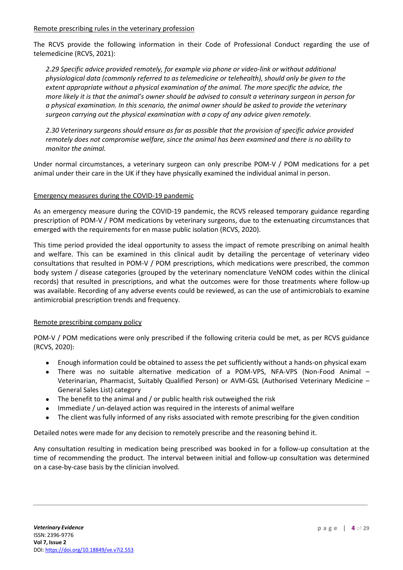#### Remote prescribing rules in the veterinary profession

The RCVS provide the following information in their Code of Professional Conduct regarding the use of telemedicine (RCVS, 2021):

*2.29 Specific advice provided remotely, for example via phone or video-link or without additional physiological data (commonly referred to as telemedicine or telehealth), should only be given to the extent appropriate without a physical examination of the animal. The more specific the advice, the more likely it is that the animal's owner should be advised to consult a veterinary surgeon in person for a physical examination. In this scenario, the animal owner should be asked to provide the veterinary surgeon carrying out the physical examination with a copy of any advice given remotely.*

*2.30 Veterinary surgeons should ensure as far as possible that the provision of specific advice provided remotely does not compromise welfare, since the animal has been examined and there is no ability to monitor the animal.*

Under normal circumstances, a veterinary surgeon can only prescribe POM-V / POM medications for a pet animal under their care in the UK if they have physically examined the individual animal in person.

#### Emergency measures during the COVID-19 pandemic

As an emergency measure during the COVID-19 pandemic, the RCVS released temporary guidance regarding prescription of POM-V / POM medications by veterinary surgeons, due to the extenuating circumstances that emerged with the requirements for en masse public isolation (RCVS, 2020).

This time period provided the ideal opportunity to assess the impact of remote prescribing on animal health and welfare. This can be examined in this clinical audit by detailing the percentage of veterinary video consultations that resulted in POM-V / POM prescriptions, which medications were prescribed, the common body system / disease categories (grouped by the veterinary nomenclature VeNOM codes within the clinical records) that resulted in prescriptions, and what the outcomes were for those treatments where follow-up was available. Recording of any adverse events could be reviewed, as can the use of antimicrobials to examine antimicrobial prescription trends and frequency.

#### Remote prescribing company policy

POM-V / POM medications were only prescribed if the following criteria could be met, as per RCVS guidance (RCVS, 2020):

- Enough information could be obtained to assess the pet sufficiently without a hands-on physical exam
- There was no suitable alternative medication of a POM-VPS, NFA-VPS (Non-Food Animal Veterinarian, Pharmacist, Suitably Qualified Person) or AVM-GSL (Authorised Veterinary Medicine – General Sales List) category
- The benefit to the animal and / or public health risk outweighed the risk
- Immediate / un-delayed action was required in the interests of animal welfare
- The client was fully informed of any risks associated with remote prescribing for the given condition

Detailed notes were made for any decision to remotely prescribe and the reasoning behind it.

Any consultation resulting in medication being prescribed was booked in for a follow-up consultation at the time of recommending the product. The interval between initial and follow-up consultation was determined on a case-by-case basis by the clinician involved.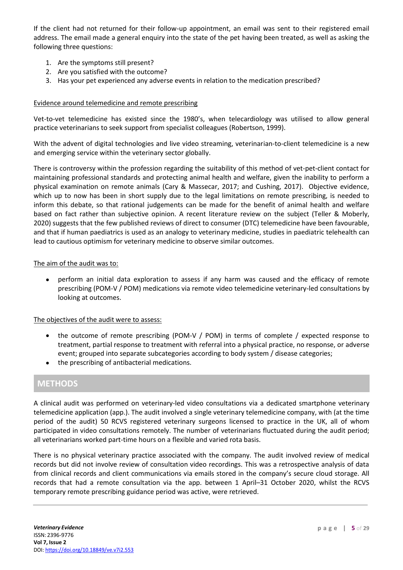If the client had not returned for their follow-up appointment, an email was sent to their registered email address. The email made a general enquiry into the state of the pet having been treated, as well as asking the following three questions:

- 1. Are the symptoms still present?
- 2. Are you satisfied with the outcome?
- 3. Has your pet experienced any adverse events in relation to the medication prescribed?

#### Evidence around telemedicine and remote prescribing

Vet-to-vet telemedicine has existed since the 1980's, when telecardiology was utilised to allow general practice veterinarians to seek support from specialist colleagues (Robertson, 1999).

With the advent of digital technologies and live video streaming, veterinarian-to-client telemedicine is a new and emerging service within the veterinary sector globally.

There is controversy within the profession regarding the suitability of this method of vet-pet-client contact for maintaining professional standards and protecting animal health and welfare, given the inability to perform a physical examination on remote animals (Cary & Massecar, 2017; and Cushing, 2017). Objective evidence, which up to now has been in short supply due to the legal limitations on remote prescribing, is needed to inform this debate, so that rational judgements can be made for the benefit of animal health and welfare based on fact rather than subjective opinion. A recent literature review on the subject (Teller & Moberly, 2020) suggests that the few published reviews of direct to consumer (DTC) telemedicine have been favourable, and that if human paediatrics is used as an analogy to veterinary medicine, studies in paediatric telehealth can lead to cautious optimism for veterinary medicine to observe similar outcomes.

#### The aim of the audit was to:

• perform an initial data exploration to assess if any harm was caused and the efficacy of remote prescribing (POM-V / POM) medications via remote video telemedicine veterinary-led consultations by looking at outcomes.

#### The objectives of the audit were to assess:

- the outcome of remote prescribing (POM-V / POM) in terms of complete / expected response to treatment, partial response to treatment with referral into a physical practice, no response, or adverse event; grouped into separate subcategories according to body system / disease categories;
- the prescribing of antibacterial medications.

# **METHODS**

A clinical audit was performed on veterinary-led video consultations via a dedicated smartphone veterinary telemedicine application (app.). The audit involved a single veterinary telemedicine company, with (at the time period of the audit) 50 RCVS registered veterinary surgeons licensed to practice in the UK, all of whom participated in video consultations remotely. The number of veterinarians fluctuated during the audit period; all veterinarians worked part-time hours on a flexible and varied rota basis.

There is no physical veterinary practice associated with the company. The audit involved review of medical records but did not involve review of consultation video recordings. This was a retrospective analysis of data from clinical records and client communications via emails stored in the company's secure cloud storage. All records that had a remote consultation via the app. between 1 April–31 October 2020, whilst the RCVS temporary remote prescribing guidance period was active, were retrieved.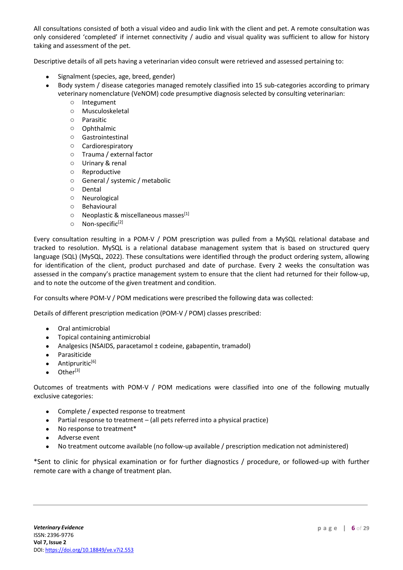All consultations consisted of both a visual video and audio link with the client and pet. A remote consultation was only considered 'completed' if internet connectivity / audio and visual quality was sufficient to allow for history taking and assessment of the pet.

Descriptive details of all pets having a veterinarian video consult were retrieved and assessed pertaining to:

- Signalment (species, age, breed, gender)
- Body system / disease categories managed remotely classified into 15 sub-categories according to primary veterinary nomenclature (VeNOM) code presumptive diagnosis selected by consulting veterinarian:
	- o Integument
	- o Musculoskeletal
	- o Parasitic
	- o Ophthalmic
	- o Gastrointestinal
	- o Cardiorespiratory
	- o Trauma / external factor
	- o Urinary & renal
	- o Reproductive
	- o General / systemic / metabolic
	- o Dental
	- o Neurological
	- o Behavioural
	- $\circ$  Neoplastic & miscellaneous masses<sup>[1]</sup>
	- $\circ$  Non-specific<sup>[2]</sup>

Every consultation resulting in a POM-V / POM prescription was pulled from a MySQL relational database and tracked to resolution. MySQL is a relational database management system that is based on structured query language (SQL) (MySQL, 2022). These consultations were identified through the product ordering system, allowing for identification of the client, product purchased and date of purchase. Every 2 weeks the consultation was assessed in the company's practice management system to ensure that the client had returned for their follow-up, and to note the outcome of the given treatment and condition.

For consults where POM-V / POM medications were prescribed the following data was collected:

Details of different prescription medication (POM-V / POM) classes prescribed:

- Oral antimicrobial
- Topical containing antimicrobial
- Analgesics (NSAIDS, paracetamol ± codeine, gabapentin, tramadol)
- Parasiticide
- $\bullet$  Antipruritic<sup>[6]</sup>
- Other<sup>[3]</sup>

Outcomes of treatments with POM-V / POM medications were classified into one of the following mutually exclusive categories:

- Complete / expected response to treatment
- Partial response to treatment (all pets referred into a physical practice)
- No response to treatment\*
- Adverse event
- No treatment outcome available (no follow-up available / prescription medication not administered)

\*Sent to clinic for physical examination or for further diagnostics / procedure, or followed-up with further remote care with a change of treatment plan.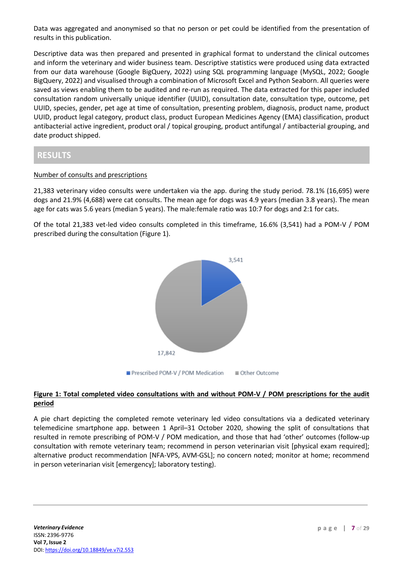Data was aggregated and anonymised so that no person or pet could be identified from the presentation of results in this publication.

Descriptive data was then prepared and presented in graphical format to understand the clinical outcomes and inform the veterinary and wider business team. Descriptive statistics were produced using data extracted from our data warehouse (Google BigQuery, 2022) using SQL programming language (MySQL, 2022; Google BigQuery, 2022) and visualised through a combination of Microsoft Excel and Python Seaborn. All queries were saved as views enabling them to be audited and re-run as required. The data extracted for this paper included consultation random universally unique identifier (UUID), consultation date, consultation type, outcome, pet UUID, species, gender, pet age at time of consultation, presenting problem, diagnosis, product name, product UUID, product legal category, product class, product European Medicines Agency (EMA) classification, product antibacterial active ingredient, product oral / topical grouping, product antifungal / antibacterial grouping, and date product shipped.

# **RESULTS**

## Number of consults and prescriptions

21,383 veterinary video consults were undertaken via the app. during the study period. 78.1% (16,695) were dogs and 21.9% (4,688) were cat consults. The mean age for dogs was 4.9 years (median 3.8 years). The mean age for cats was 5.6 years (median 5 years). The male:female ratio was 10:7 for dogs and 2:1 for cats.

Of the total 21,383 vet-led video consults completed in this timeframe, 16.6% (3,541) had a POM-V / POM prescribed during the consultation (Figure 1).



## **Figure 1: Total completed video consultations with and without POM-V / POM prescriptions for the audit period**

A pie chart depicting the completed remote veterinary led video consultations via a dedicated veterinary telemedicine smartphone app. between 1 April–31 October 2020, showing the split of consultations that resulted in remote prescribing of POM-V / POM medication, and those that had 'other' outcomes (follow-up consultation with remote veterinary team; recommend in person veterinarian visit [physical exam required]; alternative product recommendation [NFA-VPS, AVM-GSL]; no concern noted; monitor at home; recommend in person veterinarian visit [emergency]; laboratory testing).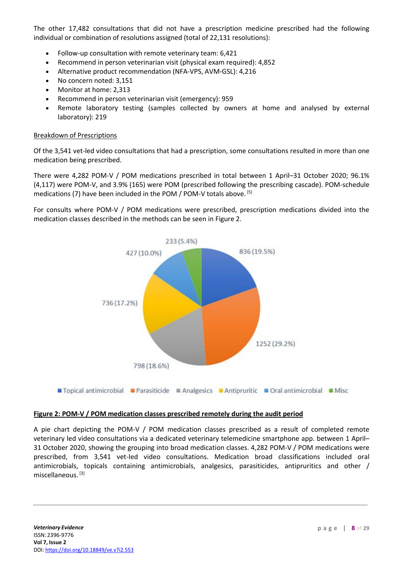The other 17,482 consultations that did not have a prescription medicine prescribed had the following individual or combination of resolutions assigned (total of 22,131 resolutions):

- Follow-up consultation with remote veterinary team: 6,421
- Recommend in person veterinarian visit (physical exam required): 4,852
- Alternative product recommendation (NFA-VPS, AVM-GSL): 4,216
- No concern noted: 3,151
- Monitor at home: 2,313
- Recommend in person veterinarian visit (emergency): 959
- Remote laboratory testing (samples collected by owners at home and analysed by external laboratory): 219

#### Breakdown of Prescriptions

Of the 3,541 vet-led video consultations that had a prescription, some consultations resulted in more than one medication being prescribed.

There were 4,282 POM-V / POM medications prescribed in total between 1 April–31 October 2020; 96.1% (4,117) were POM-V, and 3.9% (165) were POM (prescribed following the prescribing cascade). POM-schedule medications (7) have been included in the POM / POM-V totals above. [5]

For consults where POM-V / POM medications were prescribed, prescription medications divided into the medication classes described in the methods can be seen in Figure 2.



#### **Figure 2: POM-V / POM medication classes prescribed remotely during the audit period**

A pie chart depicting the POM-V / POM medication classes prescribed as a result of completed remote veterinary led video consultations via a dedicated veterinary telemedicine smartphone app. between 1 April– 31 October 2020, showing the grouping into broad medication classes. 4,282 POM-V / POM medications were prescribed, from 3,541 vet-led video consultations. Medication broad classifications included oral antimicrobials, topicals containing antimicrobials, analgesics, parasiticides, antipruritics and other / miscellaneous. [3]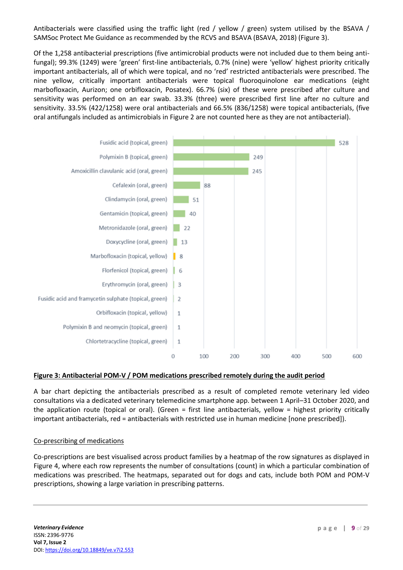Antibacterials were classified using the traffic light (red / yellow / green) system utilised by the BSAVA / SAMSoc Protect Me Guidance as recommended by the RCVS and BSAVA (BSAVA, 2018) (Figure 3).

Of the 1,258 antibacterial prescriptions (five antimicrobial products were not included due to them being antifungal); 99.3% (1249) were 'green' first-line antibacterials, 0.7% (nine) were 'yellow' highest priority critically important antibacterials, all of which were topical, and no 'red' restricted antibacterials were prescribed. The nine yellow, critically important antibacterials were topical fluoroquinolone ear medications (eight marbofloxacin, Aurizon; one orbifloxacin, Posatex). 66.7% (six) of these were prescribed after culture and sensitivity was performed on an ear swab. 33.3% (three) were prescribed first line after no culture and sensitivity. 33.5% (422/1258) were oral antibacterials and 66.5% (836/1258) were topical antibacterials, (five oral antifungals included as antimicrobials in Figure 2 are not counted here as they are not antibacterial).



#### **Figure 3: Antibacterial POM-V / POM medications prescribed remotely during the audit period**

A bar chart depicting the antibacterials prescribed as a result of completed remote veterinary led video consultations via a dedicated veterinary telemedicine smartphone app. between 1 April–31 October 2020, and the application route (topical or oral). (Green = first line antibacterials, yellow = highest priority critically important antibacterials, red = antibacterials with restricted use in human medicine [none prescribed]).

#### Co-prescribing of medications

Co-prescriptions are best visualised across product families by a heatmap of the row signatures as displayed in Figure 4, where each row represents the number of consultations (count) in which a particular combination of medications was prescribed. The heatmaps, separated out for dogs and cats, include both POM and POM-V prescriptions, showing a large variation in prescribing patterns.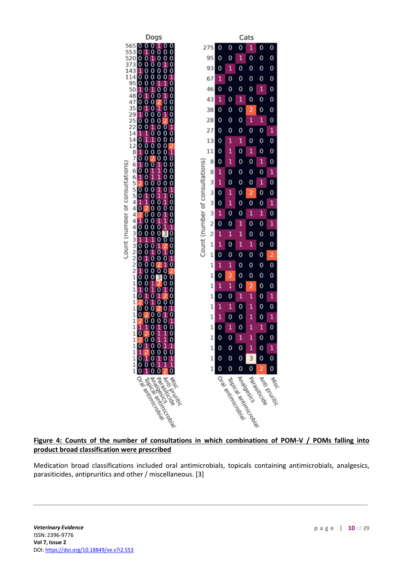

## **Figure 4: Counts of the number of consultations in which combinations of POM-V / POMs falling into product broad classification were prescribed**

Medication broad classifications included oral antimicrobials, topicals containing antimicrobials, analgesics, parasiticides, antipruritics and other / miscellaneous. [3]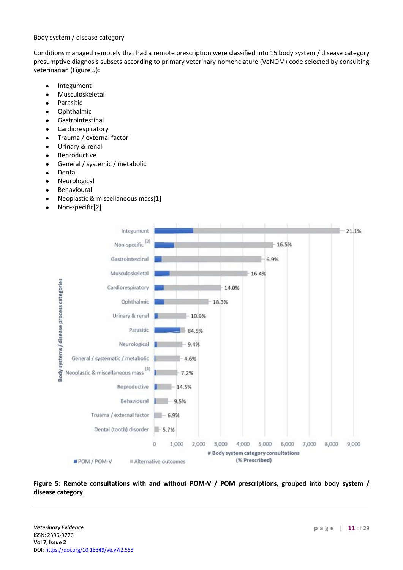#### Body system / disease category

Conditions managed remotely that had a remote prescription were classified into 15 body system / disease category presumptive diagnosis subsets according to primary veterinary nomenclature (VeNOM) code selected by consulting veterinarian (Figure 5):

- Integument
- **Musculoskeletal**
- Parasitic
- Ophthalmic
- **Gastrointestinal**
- **Cardiorespiratory**
- Trauma / external factor
- Urinary & renal
- **Reproductive**
- General / systemic / metabolic
- **Dental**
- **Neurological**
- **Behavioural**
- Neoplastic & miscellaneous mass[1]
- Non-specific[2]



## Figure 5: Remote consultations with and without POM-V / POM prescriptions, grouped into body system / **disease category**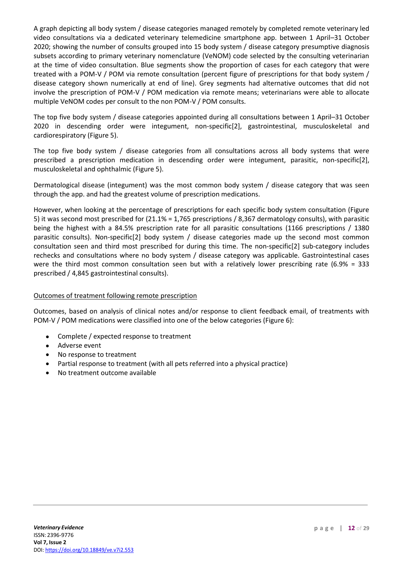A graph depicting all body system / disease categories managed remotely by completed remote veterinary led video consultations via a dedicated veterinary telemedicine smartphone app. between 1 April–31 October 2020; showing the number of consults grouped into 15 body system / disease category presumptive diagnosis subsets according to primary veterinary nomenclature (VeNOM) code selected by the consulting veterinarian at the time of video consultation. Blue segments show the proportion of cases for each category that were treated with a POM-V / POM via remote consultation (percent figure of prescriptions for that body system / disease category shown numerically at end of line). Grey segments had alternative outcomes that did not involve the prescription of POM-V / POM medication via remote means; veterinarians were able to allocate multiple VeNOM codes per consult to the non POM-V / POM consults.

The top five body system / disease categories appointed during all consultations between 1 April–31 October 2020 in descending order were integument, non-specific[2], gastrointestinal, musculoskeletal and cardiorespiratory (Figure 5).

The top five body system / disease categories from all consultations across all body systems that were prescribed a prescription medication in descending order were integument, parasitic, non-specific[2], musculoskeletal and ophthalmic (Figure 5).

Dermatological disease (integument) was the most common body system / disease category that was seen through the app. and had the greatest volume of prescription medications.

However, when looking at the percentage of prescriptions for each specific body system consultation (Figure 5) it was second most prescribed for (21.1% = 1,765 prescriptions / 8,367 dermatology consults), with parasitic being the highest with a 84.5% prescription rate for all parasitic consultations (1166 prescriptions / 1380 parasitic consults). Non-specific[2] body system / disease categories made up the second most common consultation seen and third most prescribed for during this time. The non-specific[2] sub-category includes rechecks and consultations where no body system / disease category was applicable. Gastrointestinal cases were the third most common consultation seen but with a relatively lower prescribing rate (6.9% = 333 prescribed / 4,845 gastrointestinal consults).

## Outcomes of treatment following remote prescription

Outcomes, based on analysis of clinical notes and/or response to client feedback email, of treatments with POM-V / POM medications were classified into one of the below categories (Figure 6):

- Complete / expected response to treatment
- Adverse event
- No response to treatment
- Partial response to treatment (with all pets referred into a physical practice)
- No treatment outcome available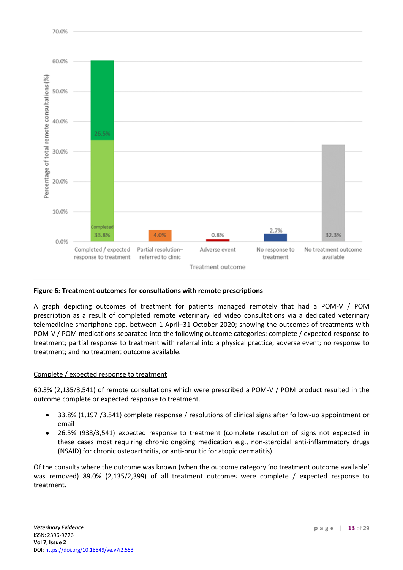

#### **Figure 6: Treatment outcomes for consultations with remote prescriptions**

A graph depicting outcomes of treatment for patients managed remotely that had a POM-V / POM prescription as a result of completed remote veterinary led video consultations via a dedicated veterinary telemedicine smartphone app. between 1 April–31 October 2020; showing the outcomes of treatments with POM-V / POM medications separated into the following outcome categories: complete / expected response to treatment; partial response to treatment with referral into a physical practice; adverse event; no response to treatment; and no treatment outcome available.

#### Complete / expected response to treatment

60.3% (2,135/3,541) of remote consultations which were prescribed a POM-V / POM product resulted in the outcome complete or expected response to treatment.

- 33.8% (1,197 /3,541) complete response / resolutions of clinical signs after follow-up appointment or email
- 26.5% (938/3,541) expected response to treatment (complete resolution of signs not expected in these cases most requiring chronic ongoing medication e.g., non-steroidal anti-inflammatory drugs (NSAID) for chronic osteoarthritis, or anti-pruritic for atopic dermatitis)

Of the consults where the outcome was known (when the outcome category 'no treatment outcome available' was removed) 89.0% (2,135/2,399) of all treatment outcomes were complete / expected response to treatment.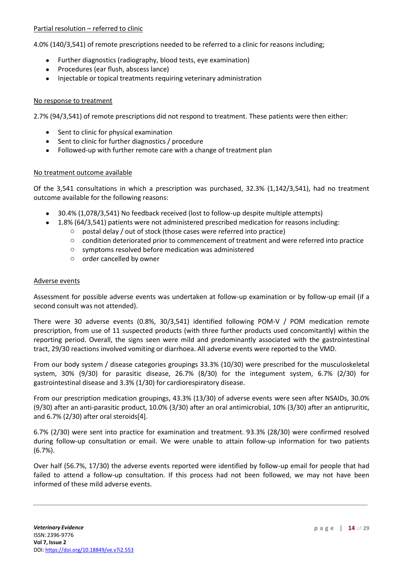#### Partial resolution – referred to clinic

4.0% (140/3,541) of remote prescriptions needed to be referred to a clinic for reasons including;

- Further diagnostics (radiography, blood tests, eye examination)
- Procedures (ear flush, abscess lance)
- Injectable or topical treatments requiring veterinary administration

#### No response to treatment

2.7% (94/3,541) of remote prescriptions did not respond to treatment. These patients were then either:

- Sent to clinic for physical examination
- Sent to clinic for further diagnostics / procedure
- Followed-up with further remote care with a change of treatment plan

#### No treatment outcome available

Of the 3,541 consultations in which a prescription was purchased, 32.3% (1,142/3,541), had no treatment outcome available for the following reasons:

- 30.4% (1,078/3,541) No feedback received (lost to follow-up despite multiple attempts)
- 1.8% (64/3,541) patients were not administered prescribed medication for reasons including:
	- o postal delay / out of stock (those cases were referred into practice)
	- o condition deteriorated prior to commencement of treatment and were referred into practice
	- o symptoms resolved before medication was administered
	- o order cancelled by owner

#### Adverse events

Assessment for possible adverse events was undertaken at follow-up examination or by follow-up email (if a second consult was not attended).

There were 30 adverse events (0.8%, 30/3,541) identified following POM-V / POM medication remote prescription, from use of 11 suspected products (with three further products used concomitantly) within the reporting period. Overall, the signs seen were mild and predominantly associated with the gastrointestinal tract, 29/30 reactions involved vomiting or diarrhoea. All adverse events were reported to the VMD.

From our body system / disease categories groupings 33.3% (10/30) were prescribed for the musculoskeletal system, 30% (9/30) for parasitic disease, 26.7% (8/30) for the integument system, 6.7% (2/30) for gastrointestinal disease and 3.3% (1/30) for cardiorespiratory disease.

From our prescription medication groupings, 43.3% (13/30) of adverse events were seen after NSAIDs, 30.0% (9/30) after an anti-parasitic product, 10.0% (3/30) after an oral antimicrobial, 10% (3/30) after an antipruritic, and 6.7% (2/30) after oral steroids[4].

6.7% (2/30) were sent into practice for examination and treatment. 93.3% (28/30) were confirmed resolved during follow-up consultation or email. We were unable to attain follow-up information for two patients (6.7%).

Over half (56.7%, 17/30) the adverse events reported were identified by follow-up email for people that had failed to attend a follow-up consultation. If this process had not been followed, we may not have been informed of these mild adverse events.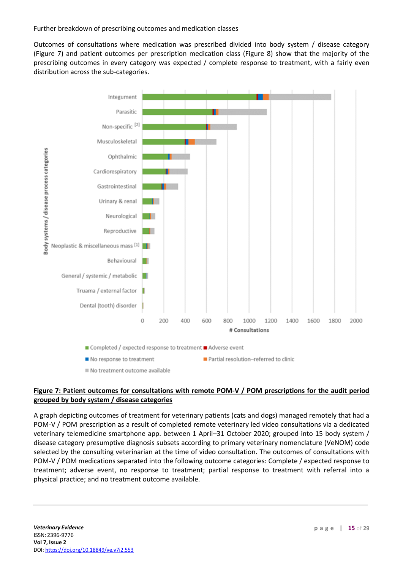#### Further breakdown of prescribing outcomes and medication classes

Outcomes of consultations where medication was prescribed divided into body system / disease category (Figure 7) and patient outcomes per prescription medication class (Figure 8) show that the majority of the prescribing outcomes in every category was expected / complete response to treatment, with a fairly even distribution across the sub-categories.



## **Figure 7: Patient outcomes for consultations with remote POM-V / POM prescriptions for the audit period grouped by body system / disease categories**

A graph depicting outcomes of treatment for veterinary patients (cats and dogs) managed remotely that had a POM-V / POM prescription as a result of completed remote veterinary led video consultations via a dedicated veterinary telemedicine smartphone app. between 1 April–31 October 2020; grouped into 15 body system / disease category presumptive diagnosis subsets according to primary veterinary nomenclature (VeNOM) code selected by the consulting veterinarian at the time of video consultation. The outcomes of consultations with POM-V / POM medications separated into the following outcome categories: Complete / expected response to treatment; adverse event, no response to treatment; partial response to treatment with referral into a physical practice; and no treatment outcome available.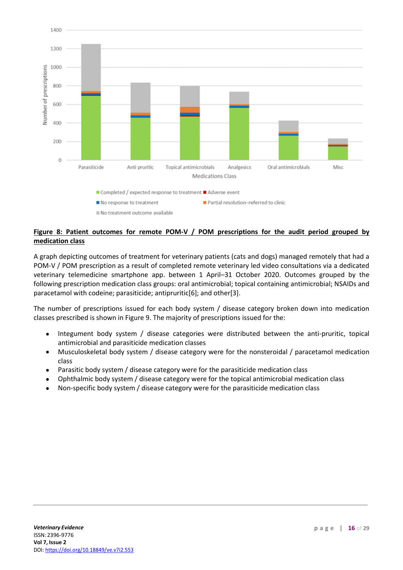

## **Figure 8: Patient outcomes for remote POM-V / POM prescriptions for the audit period grouped by medication class**

A graph depicting outcomes of treatment for veterinary patients (cats and dogs) managed remotely that had a POM-V / POM prescription as a result of completed remote veterinary led video consultations via a dedicated veterinary telemedicine smartphone app. between 1 April–31 October 2020. Outcomes grouped by the following prescription medication class groups: oral antimicrobial; topical containing antimicrobial; NSAIDs and paracetamol with codeine; parasiticide; antipruritic[6]; and other[3].

The number of prescriptions issued for each body system / disease category broken down into medication classes prescribed is shown in Figure 9. The majority of prescriptions issued for the:

- Integument body system / disease categories were distributed between the anti-pruritic, topical antimicrobial and parasiticide medication classes
- Musculoskeletal body system / disease category were for the nonsteroidal / paracetamol medication class
- Parasitic body system / disease category were for the parasiticide medication class
- Ophthalmic body system / disease category were for the topical antimicrobial medication class
- Non-specific body system / disease category were for the parasiticide medication class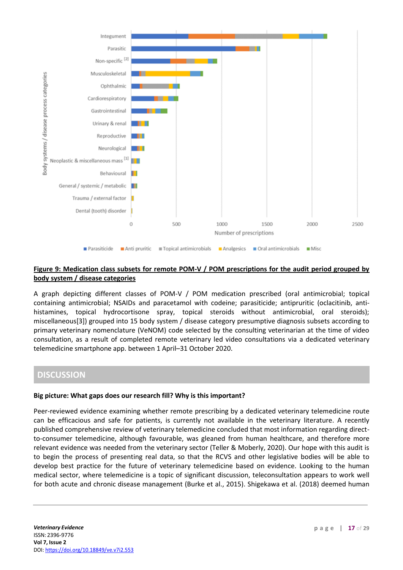

## **Figure 9: Medication class subsets for remote POM-V / POM prescriptions for the audit period grouped by body system / disease categories**

A graph depicting different classes of POM-V / POM medication prescribed (oral antimicrobial; topical containing antimicrobial; NSAIDs and paracetamol with codeine; parasiticide; antipruritic (oclacitinib, antihistamines, topical hydrocortisone spray, topical steroids without antimicrobial, oral steroids); miscellaneous[3]) grouped into 15 body system / disease category presumptive diagnosis subsets according to primary veterinary nomenclature (VeNOM) code selected by the consulting veterinarian at the time of video consultation, as a result of completed remote veterinary led video consultations via a dedicated veterinary telemedicine smartphone app. between 1 April–31 October 2020.

# **DISCUSSION**

#### **Big picture: What gaps does our research fill? Why is this important?**

Peer-reviewed evidence examining whether remote prescribing by a dedicated veterinary telemedicine route can be efficacious and safe for patients, is currently not available in the veterinary literature. A recently published comprehensive review of veterinary telemedicine concluded that most information regarding directto-consumer telemedicine, although favourable, was gleaned from human healthcare, and therefore more relevant evidence was needed from the veterinary sector (Teller & Moberly, 2020). Our hope with this audit is to begin the process of presenting real data, so that the RCVS and other legislative bodies will be able to develop best practice for the future of veterinary telemedicine based on evidence. Looking to the human medical sector, where telemedicine is a topic of significant discussion, teleconsultation appears to work well for both acute and chronic disease management (Burke et al., 2015). Shigekawa et al. (2018) deemed human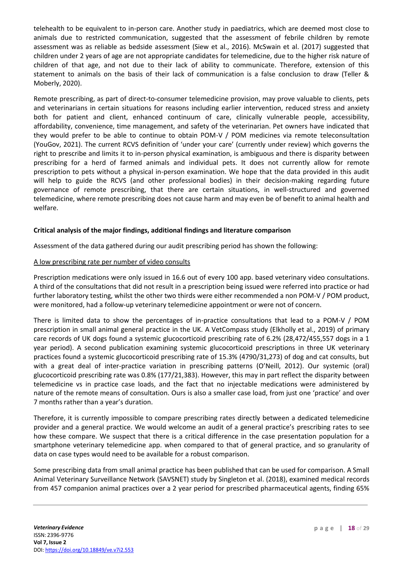telehealth to be equivalent to in-person care. Another study in paediatrics, which are deemed most close to animals due to restricted communication, suggested that the assessment of febrile children by remote assessment was as reliable as bedside assessment (Siew et al., 2016). McSwain et al. (2017) suggested that children under 2 years of age are not appropriate candidates for telemedicine, due to the higher risk nature of children of that age, and not due to their lack of ability to communicate. Therefore, extension of this statement to animals on the basis of their lack of communication is a false conclusion to draw (Teller & Moberly, 2020).

Remote prescribing, as part of direct-to-consumer telemedicine provision, may prove valuable to clients, pets and veterinarians in certain situations for reasons including earlier intervention, reduced stress and anxiety both for patient and client, enhanced continuum of care, clinically vulnerable people, accessibility, affordability, convenience, time management, and safety of the veterinarian. Pet owners have indicated that they would prefer to be able to continue to obtain POM-V / POM medicines via remote teleconsultation (YouGov, 2021). The current RCVS definition of 'under your care' (currently under review) which governs the right to prescribe and limits it to in-person physical examination, is ambiguous and there is disparity between prescribing for a herd of farmed animals and individual pets. It does not currently allow for remote prescription to pets without a physical in-person examination. We hope that the data provided in this audit will help to guide the RCVS (and other professional bodies) in their decision-making regarding future governance of remote prescribing, that there are certain situations, in well-structured and governed telemedicine, where remote prescribing does not cause harm and may even be of benefit to animal health and welfare.

## **Critical analysis of the major findings, additional findings and literature comparison**

Assessment of the data gathered during our audit prescribing period has shown the following:

#### A low prescribing rate per number of video consults

Prescription medications were only issued in 16.6 out of every 100 app. based veterinary video consultations. A third of the consultations that did not result in a prescription being issued were referred into practice or had further laboratory testing, whilst the other two thirds were either recommended a non POM-V / POM product, were monitored, had a follow-up veterinary telemedicine appointment or were not of concern.

There is limited data to show the percentages of in-practice consultations that lead to a POM-V / POM prescription in small animal general practice in the UK. A VetCompass study (Elkholly et al., 2019) of primary care records of UK dogs found a systemic glucocorticoid prescribing rate of 6.2% (28,472/455,557 dogs in a 1 year period). A second publication examining systemic glucocorticoid prescriptions in three UK veterinary practices found a systemic glucocorticoid prescribing rate of 15.3% (4790/31,273) of dog and cat consults, but with a great deal of inter-practice variation in prescribing patterns (O'Neill, 2012). Our systemic (oral) glucocorticoid prescribing rate was 0.8% (177/21,383). However, this may in part reflect the disparity between telemedicine vs in practice case loads, and the fact that no injectable medications were administered by nature of the remote means of consultation. Ours is also a smaller case load, from just one 'practice' and over 7 months rather than a year's duration.

Therefore, it is currently impossible to compare prescribing rates directly between a dedicated telemedicine provider and a general practice. We would welcome an audit of a general practice's prescribing rates to see how these compare. We suspect that there is a critical difference in the case presentation population for a smartphone veterinary telemedicine app. when compared to that of general practice, and so granularity of data on case types would need to be available for a robust comparison.

Some prescribing data from small animal practice has been published that can be used for comparison. A Small Animal Veterinary Surveillance Network (SAVSNET) study by Singleton et al. (2018), examined medical records from 457 companion animal practices over a 2 year period for prescribed pharmaceutical agents, finding 65%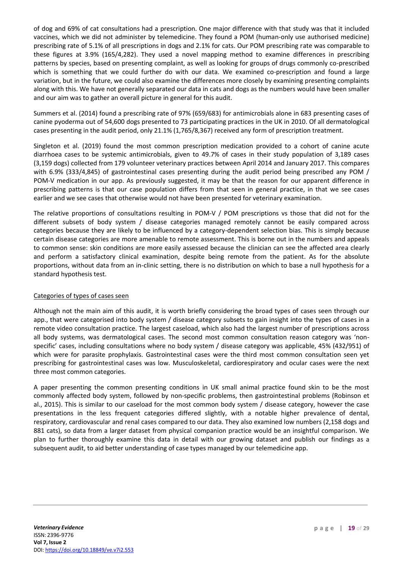of dog and 69% of cat consultations had a prescription. One major difference with that study was that it included vaccines, which we did not administer by telemedicine. They found a POM (human-only use authorised medicine) prescribing rate of 5.1% of all prescriptions in dogs and 2.1% for cats. Our POM prescribing rate was comparable to these figures at 3.9% (165/4,282). They used a novel mapping method to examine differences in prescribing patterns by species, based on presenting complaint, as well as looking for groups of drugs commonly co-prescribed which is something that we could further do with our data. We examined co-prescription and found a large variation, but in the future, we could also examine the differences more closely by examining presenting complaints along with this. We have not generally separated our data in cats and dogs as the numbers would have been smaller and our aim was to gather an overall picture in general for this audit.

Summers et al. (2014) found a prescribing rate of 97% (659/683) for antimicrobials alone in 683 presenting cases of canine pyoderma out of 54,600 dogs presented to 73 participating practices in the UK in 2010. Of all dermatological cases presenting in the audit period, only 21.1% (1,765/8,367) received any form of prescription treatment.

Singleton et al. (2019) found the most common prescription medication provided to a cohort of canine acute diarrhoea cases to be systemic antimicrobials, given to 49.7% of cases in their study population of 3,189 cases (3,159 dogs) collected from 179 volunteer veterinary practices between April 2014 and January 2017. This compares with 6.9% (333/4,845) of gastrointestinal cases presenting during the audit period being prescribed any POM / POM-V medication in our app. As previously suggested, it may be that the reason for our apparent difference in prescribing patterns is that our case population differs from that seen in general practice, in that we see cases earlier and we see cases that otherwise would not have been presented for veterinary examination.

The relative proportions of consultations resulting in POM-V / POM prescriptions vs those that did not for the different subsets of body system / disease categories managed remotely cannot be easily compared across categories because they are likely to be influenced by a category-dependent selection bias. This is simply because certain disease categories are more amenable to remote assessment. This is borne out in the numbers and appeals to common sense: skin conditions are more easily assessed because the clinician can see the affected area clearly and perform a satisfactory clinical examination, despite being remote from the patient. As for the absolute proportions, without data from an in-clinic setting, there is no distribution on which to base a null hypothesis for a standard hypothesis test.

#### Categories of types of cases seen

Although not the main aim of this audit, it is worth briefly considering the broad types of cases seen through our app., that were categorised into body system / disease category subsets to gain insight into the types of cases in a remote video consultation practice. The largest caseload, which also had the largest number of prescriptions across all body systems, was dermatological cases. The second most common consultation reason category was 'nonspecific' cases, including consultations where no body system / disease category was applicable, 45% (432/951) of which were for parasite prophylaxis. Gastrointestinal cases were the third most common consultation seen yet prescribing for gastrointestinal cases was low. Musculoskeletal, cardiorespiratory and ocular cases were the next three most common categories.

A paper presenting the common presenting conditions in UK small animal practice found skin to be the most commonly affected body system, followed by non-specific problems, then gastrointestinal problems (Robinson et al., 2015). This is similar to our caseload for the most common body system / disease category, however the case presentations in the less frequent categories differed slightly, with a notable higher prevalence of dental, respiratory, cardiovascular and renal cases compared to our data. They also examined low numbers (2,158 dogs and 881 cats), so data from a larger dataset from physical companion practice would be an insightful comparison. We plan to further thoroughly examine this data in detail with our growing dataset and publish our findings as a subsequent audit, to aid better understanding of case types managed by our telemedicine app.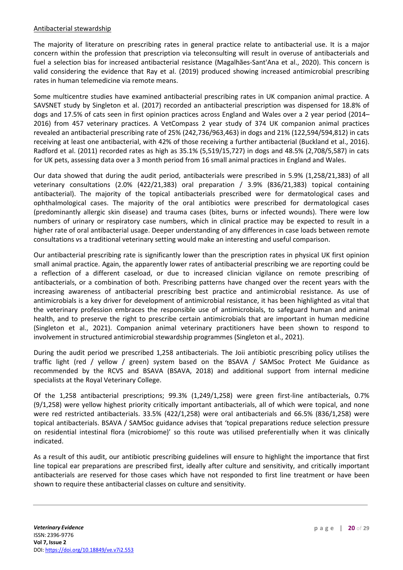#### Antibacterial stewardship

The majority of literature on prescribing rates in general practice relate to antibacterial use. It is a major concern within the profession that prescription via teleconsulting will result in overuse of antibacterials and fuel a selection bias for increased antibacterial resistance (Magalhães-Sant'Ana et al., 2020). This concern is valid considering the evidence that Ray et al. (2019) produced showing increased antimicrobial prescribing rates in human telemedicine via remote means.

Some multicentre studies have examined antibacterial prescribing rates in UK companion animal practice. A SAVSNET study by Singleton et al. (2017) recorded an antibacterial prescription was dispensed for 18.8% of dogs and 17.5% of cats seen in first opinion practices across England and Wales over a 2 year period (2014– 2016) from 457 veterinary practices. A VetCompass 2 year study of 374 UK companion animal practices revealed an antibacterial prescribing rate of 25% (242,736/963,463) in dogs and 21% (122,594/594,812) in cats receiving at least one antibacterial, with 42% of those receiving a further antibacterial (Buckland et al., 2016). Radford et al. (2011) recorded rates as high as 35.1% (5,519/15,727) in dogs and 48.5% (2,708/5,587) in cats for UK pets, assessing data over a 3 month period from 16 small animal practices in England and Wales.

Our data showed that during the audit period, antibacterials were prescribed in 5.9% (1,258/21,383) of all veterinary consultations (2.0% (422/21,383) oral preparation / 3.9% (836/21,383) topical containing antibacterial). The majority of the topical antibacterials prescribed were for dermatological cases and ophthalmological cases. The majority of the oral antibiotics were prescribed for dermatological cases (predominantly allergic skin disease) and trauma cases (bites, burns or infected wounds). There were low numbers of urinary or respiratory case numbers, which in clinical practice may be expected to result in a higher rate of oral antibacterial usage. Deeper understanding of any differences in case loads between remote consultations vs a traditional veterinary setting would make an interesting and useful comparison.

Our antibacterial prescribing rate is significantly lower than the prescription rates in physical UK first opinion small animal practice. Again, the apparently lower rates of antibacterial prescribing we are reporting could be a reflection of a different caseload, or due to increased clinician vigilance on remote prescribing of antibacterials, or a combination of both. Prescribing patterns have changed over the recent years with the increasing awareness of antibacterial prescribing best practice and antimicrobial resistance. As use of antimicrobials is a key driver for development of antimicrobial resistance, it has been highlighted as vital that the veterinary profession embraces the responsible use of antimicrobials, to safeguard human and animal health, and to preserve the right to prescribe certain antimicrobials that are important in human medicine (Singleton et al., 2021). Companion animal veterinary practitioners have been shown to respond to involvement in structured antimicrobial stewardship programmes (Singleton et al., 2021).

During the audit period we prescribed 1,258 antibacterials. The Joii antibiotic prescribing policy utilises the traffic light (red / yellow / green) system based on the BSAVA / SAMSoc Protect Me Guidance as recommended by the RCVS and BSAVA (BSAVA, 2018) and additional support from internal medicine specialists at the Royal Veterinary College.

Of the 1,258 antibacterial prescriptions; 99.3% (1,249/1,258) were green first-line antibacterials, 0.7% (9/1,258) were yellow highest priority critically important antibacterials, all of which were topical, and none were red restricted antibacterials. 33.5% (422/1,258) were oral antibacterials and 66.5% (836/1,258) were topical antibacterials. BSAVA / SAMSoc guidance advises that 'topical preparations reduce selection pressure on residential intestinal flora (microbiome)' so this route was utilised preferentially when it was clinically indicated.

As a result of this audit, our antibiotic prescribing guidelines will ensure to highlight the importance that first line topical ear preparations are prescribed first, ideally after culture and sensitivity, and critically important antibacterials are reserved for those cases which have not responded to first line treatment or have been shown to require these antibacterial classes on culture and sensitivity.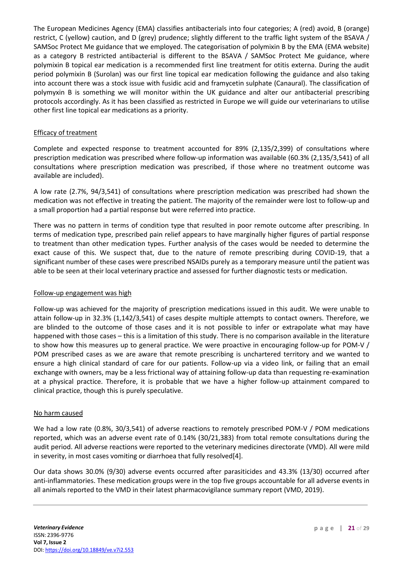The European Medicines Agency (EMA) classifies antibacterials into four categories; A (red) avoid, B (orange) restrict, C (yellow) caution, and D (grey) prudence; slightly different to the traffic light system of the BSAVA / SAMSoc Protect Me guidance that we employed. The categorisation of polymixin B by the EMA (EMA website) as a category B restricted antibacterial is different to the BSAVA / SAMSoc Protect Me guidance, where polymixin B topical ear medication is a recommended first line treatment for otitis externa. During the audit period polymixin B (Surolan) was our first line topical ear medication following the guidance and also taking into account there was a stock issue with fusidic acid and framycetin sulphate (Canaural). The classification of polymyxin B is something we will monitor within the UK guidance and alter our antibacterial prescribing protocols accordingly. As it has been classified as restricted in Europe we will guide our veterinarians to utilise other first line topical ear medications as a priority.

## Efficacy of treatment

Complete and expected response to treatment accounted for 89% (2,135/2,399) of consultations where prescription medication was prescribed where follow-up information was available (60.3% (2,135/3,541) of all consultations where prescription medication was prescribed, if those where no treatment outcome was available are included).

A low rate (2.7%, 94/3,541) of consultations where prescription medication was prescribed had shown the medication was not effective in treating the patient. The majority of the remainder were lost to follow-up and a small proportion had a partial response but were referred into practice.

There was no pattern in terms of condition type that resulted in poor remote outcome after prescribing. In terms of medication type, prescribed pain relief appears to have marginally higher figures of partial response to treatment than other medication types. Further analysis of the cases would be needed to determine the exact cause of this. We suspect that, due to the nature of remote prescribing during COVID-19, that a significant number of these cases were prescribed NSAIDs purely as a temporary measure until the patient was able to be seen at their local veterinary practice and assessed for further diagnostic tests or medication.

#### Follow-up engagement was high

Follow-up was achieved for the majority of prescription medications issued in this audit. We were unable to attain follow-up in 32.3% (1,142/3,541) of cases despite multiple attempts to contact owners. Therefore, we are blinded to the outcome of those cases and it is not possible to infer or extrapolate what may have happened with those cases – this is a limitation of this study. There is no comparison available in the literature to show how this measures up to general practice. We were proactive in encouraging follow-up for POM-V / POM prescribed cases as we are aware that remote prescribing is unchartered territory and we wanted to ensure a high clinical standard of care for our patients. Follow-up via a video link, or failing that an email exchange with owners, may be a less frictional way of attaining follow-up data than requesting re-examination at a physical practice. Therefore, it is probable that we have a higher follow-up attainment compared to clinical practice, though this is purely speculative.

#### No harm caused

We had a low rate (0.8%, 30/3,541) of adverse reactions to remotely prescribed POM-V / POM medications reported, which was an adverse event rate of 0.14% (30/21,383) from total remote consultations during the audit period. All adverse reactions were reported to the veterinary medicines directorate (VMD). All were mild in severity, in most cases vomiting or diarrhoea that fully resolved[4].

Our data shows 30.0% (9/30) adverse events occurred after parasiticides and 43.3% (13/30) occurred after anti-inflammatories. These medication groups were in the top five groups accountable for all adverse events in all animals reported to the VMD in their latest pharmacovigilance summary report (VMD, 2019).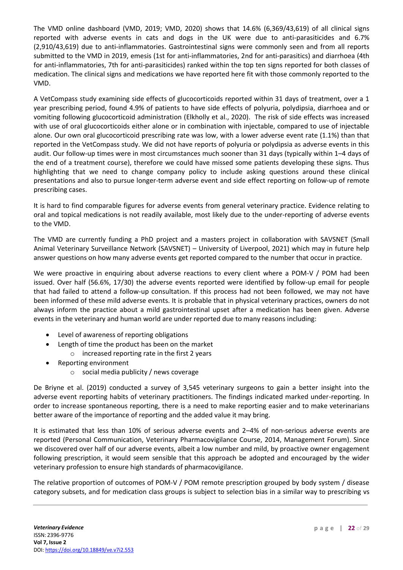The VMD online dashboard (VMD, 2019; VMD, 2020) shows that 14.6% (6,369/43,619) of all clinical signs reported with adverse events in cats and dogs in the UK were due to anti-parasiticides and 6.7% (2,910/43,619) due to anti-inflammatories. Gastrointestinal signs were commonly seen and from all reports submitted to the VMD in 2019, emesis (1st for anti-inflammatories, 2nd for anti-parasitics) and diarrhoea (4th for anti-inflammatories, 7th for anti-parasiticides) ranked within the top ten signs reported for both classes of medication. The clinical signs and medications we have reported here fit with those commonly reported to the VMD.

A VetCompass study examining side effects of glucocorticoids reported within 31 days of treatment, over a 1 year prescribing period, found 4.9% of patients to have side effects of polyuria, polydipsia, diarrhoea and or vomiting following glucocorticoid administration (Elkholly et al., 2020). The risk of side effects was increased with use of oral glucocorticoids either alone or in combination with injectable, compared to use of injectable alone. Our own oral glucocorticoid prescribing rate was low, with a lower adverse event rate (1.1%) than that reported in the VetCompass study. We did not have reports of polyuria or polydipsia as adverse events in this audit. Our follow-up times were in most circumstances much sooner than 31 days (typically within 1–4 days of the end of a treatment course), therefore we could have missed some patients developing these signs. Thus highlighting that we need to change company policy to include asking questions around these clinical presentations and also to pursue longer-term adverse event and side effect reporting on follow-up of remote prescribing cases.

It is hard to find comparable figures for adverse events from general veterinary practice. Evidence relating to oral and topical medications is not readily available, most likely due to the under-reporting of adverse events to the VMD.

The VMD are currently funding a PhD project and a masters project in collaboration with SAVSNET (Small Animal Veterinary Surveillance Network (SAVSNET) – University of Liverpool, 2021) which may in future help answer questions on how many adverse events get reported compared to the number that occur in practice.

We were proactive in enquiring about adverse reactions to every client where a POM-V / POM had been issued. Over half (56.6%, 17/30) the adverse events reported were identified by follow-up email for people that had failed to attend a follow-up consultation. If this process had not been followed, we may not have been informed of these mild adverse events. It is probable that in physical veterinary practices, owners do not always inform the practice about a mild gastrointestinal upset after a medication has been given. Adverse events in the veterinary and human world are under reported due to many reasons including:

- Level of awareness of reporting obligations
- Length of time the product has been on the market o increased reporting rate in the first 2 years
- Reporting environment
	- o social media publicity / news coverage

De Briyne et al. (2019) conducted a survey of 3,545 veterinary surgeons to gain a better insight into the adverse event reporting habits of veterinary practitioners. The findings indicated marked under-reporting. In order to increase spontaneous reporting, there is a need to make reporting easier and to make veterinarians better aware of the importance of reporting and the added value it may bring.

It is estimated that less than 10% of serious adverse events and 2–4% of non-serious adverse events are reported (Personal Communication, Veterinary Pharmacovigilance Course, 2014, Management Forum). Since we discovered over half of our adverse events, albeit a low number and mild, by proactive owner engagement following prescription, it would seem sensible that this approach be adopted and encouraged by the wider veterinary profession to ensure high standards of pharmacovigilance.

The relative proportion of outcomes of POM-V / POM remote prescription grouped by body system / disease category subsets, and for medication class groups is subject to selection bias in a similar way to prescribing vs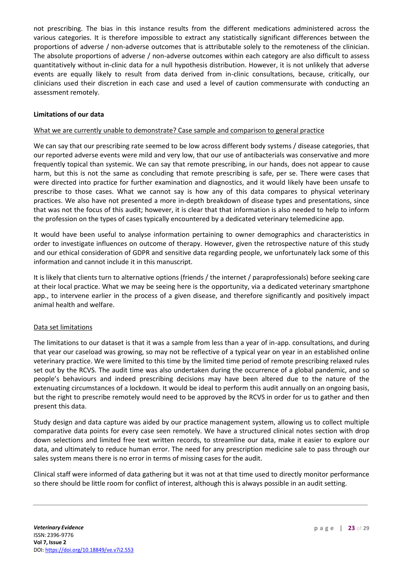not prescribing. The bias in this instance results from the different medications administered across the various categories. It is therefore impossible to extract any statistically significant differences between the proportions of adverse / non-adverse outcomes that is attributable solely to the remoteness of the clinician. The absolute proportions of adverse / non-adverse outcomes within each category are also difficult to assess quantitatively without in-clinic data for a null hypothesis distribution. However, it is not unlikely that adverse events are equally likely to result from data derived from in-clinic consultations, because, critically, our clinicians used their discretion in each case and used a level of caution commensurate with conducting an assessment remotely.

#### **Limitations of our data**

#### What we are currently unable to demonstrate? Case sample and comparison to general practice

We can say that our prescribing rate seemed to be low across different body systems / disease categories, that our reported adverse events were mild and very low, that our use of antibacterials was conservative and more frequently topical than systemic. We can say that remote prescribing, in our hands, does not appear to cause harm, but this is not the same as concluding that remote prescribing is safe, per se. There were cases that were directed into practice for further examination and diagnostics, and it would likely have been unsafe to prescribe to those cases. What we cannot say is how any of this data compares to physical veterinary practices. We also have not presented a more in-depth breakdown of disease types and presentations, since that was not the focus of this audit; however, it is clear that that information is also needed to help to inform the profession on the types of cases typically encountered by a dedicated veterinary telemedicine app.

It would have been useful to analyse information pertaining to owner demographics and characteristics in order to investigate influences on outcome of therapy. However, given the retrospective nature of this study and our ethical consideration of GDPR and sensitive data regarding people, we unfortunately lack some of this information and cannot include it in this manuscript.

It is likely that clients turn to alternative options (friends / the internet / paraprofessionals) before seeking care at their local practice. What we may be seeing here is the opportunity, via a dedicated veterinary smartphone app., to intervene earlier in the process of a given disease, and therefore significantly and positively impact animal health and welfare.

#### Data set limitations

The limitations to our dataset is that it was a sample from less than a year of in-app. consultations, and during that year our caseload was growing, so may not be reflective of a typical year on year in an established online veterinary practice. We were limited to this time by the limited time period of remote prescribing relaxed rules set out by the RCVS. The audit time was also undertaken during the occurrence of a global pandemic, and so people's behaviours and indeed prescribing decisions may have been altered due to the nature of the extenuating circumstances of a lockdown. It would be ideal to perform this audit annually on an ongoing basis, but the right to prescribe remotely would need to be approved by the RCVS in order for us to gather and then present this data.

Study design and data capture was aided by our practice management system, allowing us to collect multiple comparative data points for every case seen remotely. We have a structured clinical notes section with drop down selections and limited free text written records, to streamline our data, make it easier to explore our data, and ultimately to reduce human error. The need for any prescription medicine sale to pass through our sales system means there is no error in terms of missing cases for the audit.

Clinical staff were informed of data gathering but it was not at that time used to directly monitor performance so there should be little room for conflict of interest, although this is always possible in an audit setting.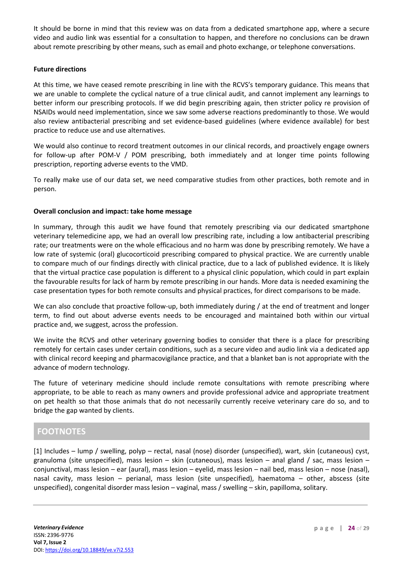It should be borne in mind that this review was on data from a dedicated smartphone app, where a secure video and audio link was essential for a consultation to happen, and therefore no conclusions can be drawn about remote prescribing by other means, such as email and photo exchange, or telephone conversations.

#### **Future directions**

At this time, we have ceased remote prescribing in line with the RCVS's temporary guidance. This means that we are unable to complete the cyclical nature of a true clinical audit, and cannot implement any learnings to better inform our prescribing protocols. If we did begin prescribing again, then stricter policy re provision of NSAIDs would need implementation, since we saw some adverse reactions predominantly to those. We would also review antibacterial prescribing and set evidence-based guidelines (where evidence available) for best practice to reduce use and use alternatives.

We would also continue to record treatment outcomes in our clinical records, and proactively engage owners for follow-up after POM-V / POM prescribing, both immediately and at longer time points following prescription, reporting adverse events to the VMD.

To really make use of our data set, we need comparative studies from other practices, both remote and in person.

## **Overall conclusion and impact: take home message**

In summary, through this audit we have found that remotely prescribing via our dedicated smartphone veterinary telemedicine app, we had an overall low prescribing rate, including a low antibacterial prescribing rate; our treatments were on the whole efficacious and no harm was done by prescribing remotely. We have a low rate of systemic (oral) glucocorticoid prescribing compared to physical practice. We are currently unable to compare much of our findings directly with clinical practice, due to a lack of published evidence. It is likely that the virtual practice case population is different to a physical clinic population, which could in part explain the favourable results for lack of harm by remote prescribing in our hands. More data is needed examining the case presentation types for both remote consults and physical practices, for direct comparisons to be made.

We can also conclude that proactive follow-up, both immediately during / at the end of treatment and longer term, to find out about adverse events needs to be encouraged and maintained both within our virtual practice and, we suggest, across the profession.

We invite the RCVS and other veterinary governing bodies to consider that there is a place for prescribing remotely for certain cases under certain conditions, such as a secure video and audio link via a dedicated app with clinical record keeping and pharmacovigilance practice, and that a blanket ban is not appropriate with the advance of modern technology.

The future of veterinary medicine should include remote consultations with remote prescribing where appropriate, to be able to reach as many owners and provide professional advice and appropriate treatment on pet health so that those animals that do not necessarily currently receive veterinary care do so, and to bridge the gap wanted by clients.

# **FOOTNOTES**

[1] Includes – lump / swelling, polyp – rectal, nasal (nose) disorder (unspecified), wart, skin (cutaneous) cyst, granuloma (site unspecified), mass lesion – skin (cutaneous), mass lesion – anal gland / sac, mass lesion – conjunctival, mass lesion – ear (aural), mass lesion – eyelid, mass lesion – nail bed, mass lesion – nose (nasal), nasal cavity, mass lesion – perianal, mass lesion (site unspecified), haematoma – other, abscess (site unspecified), congenital disorder mass lesion – vaginal, mass / swelling – skin, papilloma, solitary.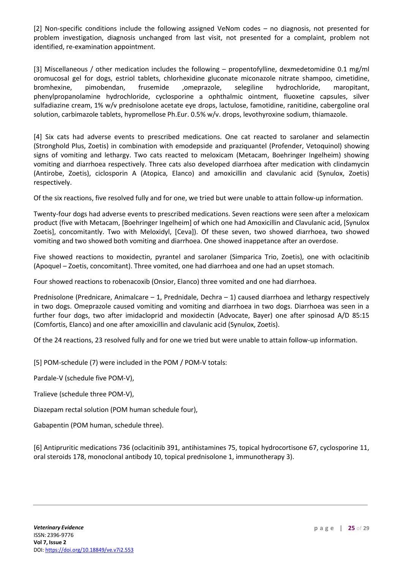[2] Non-specific conditions include the following assigned VeNom codes – no diagnosis, not presented for problem investigation, diagnosis unchanged from last visit, not presented for a complaint, problem not identified, re-examination appointment.

[3] Miscellaneous / other medication includes the following – propentofylline, dexmedetomidine 0.1 mg/ml oromucosal gel for dogs, estriol tablets, chlorhexidine gluconate miconazole nitrate shampoo, cimetidine, bromhexine, pimobendan, frusemide ,omeprazole, selegiline hydrochloride, maropitant, phenylpropanolamine hydrochloride, cyclosporine a ophthalmic ointment, fluoxetine capsules, silver sulfadiazine cream, 1% w/v prednisolone acetate eye drops, lactulose, famotidine, ranitidine, cabergoline oral solution, carbimazole tablets, hypromellose Ph.Eur. 0.5% w/v. drops, levothyroxine sodium, thiamazole.

[4] Six cats had adverse events to prescribed medications. One cat reacted to sarolaner and selamectin (Stronghold Plus, Zoetis) in combination with emodepside and praziquantel (Profender, Vetoquinol) showing signs of vomiting and lethargy. Two cats reacted to meloxicam (Metacam, Boehringer Ingelheim) showing vomiting and diarrhoea respectively. Three cats also developed diarrhoea after medication with clindamycin (Antirobe, Zoetis), ciclosporin A (Atopica, Elanco) and amoxicillin and clavulanic acid (Synulox, Zoetis) respectively.

Of the six reactions, five resolved fully and for one, we tried but were unable to attain follow-up information.

Twenty-four dogs had adverse events to prescribed medications. Seven reactions were seen after a meloxicam product (five with Metacam, [Boehringer Ingelheim] of which one had Amoxicillin and Clavulanic acid, [Synulox Zoetis], concomitantly. Two with Meloxidyl, [Ceva]). Of these seven, two showed diarrhoea, two showed vomiting and two showed both vomiting and diarrhoea. One showed inappetance after an overdose.

Five showed reactions to moxidectin, pyrantel and sarolaner (Simparica Trio, Zoetis), one with oclacitinib (Apoquel – Zoetis, concomitant). Three vomited, one had diarrhoea and one had an upset stomach.

Four showed reactions to robenacoxib (Onsior, Elanco) three vomited and one had diarrhoea.

Prednisolone (Prednicare, Animalcare – 1, Prednidale, Dechra – 1) caused diarrhoea and lethargy respectively in two dogs. Omeprazole caused vomiting and vomiting and diarrhoea in two dogs. Diarrhoea was seen in a further four dogs, two after imidacloprid and moxidectin (Advocate, Bayer) one after spinosad A/D 85:15 (Comfortis, Elanco) and one after amoxicillin and clavulanic acid (Synulox, Zoetis).

Of the 24 reactions, 23 resolved fully and for one we tried but were unable to attain follow-up information.

[5] POM-schedule (7) were included in the POM / POM-V totals:

Pardale-V (schedule five POM-V),

Tralieve (schedule three POM-V),

Diazepam rectal solution (POM human schedule four),

Gabapentin (POM human, schedule three).

[6] Antipruritic medications 736 (oclacitinib 391, antihistamines 75, topical hydrocortisone 67, cyclosporine 11, oral steroids 178, monoclonal antibody 10, topical prednisolone 1, immunotherapy 3).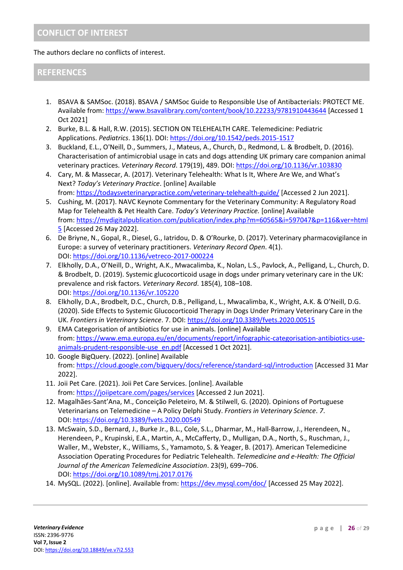The authors declare no conflicts of interest.

# **REFERENCES**

- 1. BSAVA & SAMSoc. (2018). BSAVA / SAMSoc Guide to Responsible Use of Antibacterials: PROTECT ME. Available from: <https://www.bsavalibrary.com/content/book/10.22233/9781910443644> [Accessed 1 Oct 2021]
- 2. Burke, B.L. & Hall, R.W. (2015). SECTION ON TELEHEALTH CARE. Telemedicine: Pediatric Applications. *Pediatrics*. 136(1). DOI: <https://doi.org/10.1542/peds.2015-1517>
- 3. Buckland, E.L., O'Neill, D., Summers, J., Mateus, A., Church, D., Redmond, L. & Brodbelt, D. (2016). Characterisation of antimicrobial usage in cats and dogs attending UK primary care companion animal veterinary practices. *Veterinary Record*. 179(19), 489. DOI: <https://doi.org/10.1136/vr.103830>
- 4. Cary, M. & Massecar, A. (2017). Veterinary Telehealth: What Is It, Where Are We, and What's Next? *Today's Veterinary Practice*. [online] Available from: <https://todaysveterinarypractice.com/veterinary-telehealth-guide/> [Accessed 2 Jun 2021].
- 5. Cushing, M. (2017). NAVC Keynote Commentary for the Veterinary Community: A Regulatory Road Map for Telehealth & Pet Health Care. *Today's Veterinary Practice.* [online] Available from: [https://mydigitalpublication.com/publication/index.php?m=60565&i=597047&p=116&ver=html](https://mydigitalpublication.com/publication/index.php?m=60565&i=597047&p=116&ver=html5) [5](https://mydigitalpublication.com/publication/index.php?m=60565&i=597047&p=116&ver=html5) [Accessed 26 May 2022].
- 6. De Briyne, N., Gopal, R., Diesel, G., Iatridou, D. & O'Rourke, D. (2017). Veterinary pharmacovigilance in Europe: a survey of veterinary practitioners. *Veterinary Record Open*. 4(1). DOI: <https://doi.org/10.1136/vetreco-2017-000224>
- 7. Elkholly, D.A., O'Neill, D., Wright, A.K., Mwacalimba, K., Nolan, L.S., Pavlock, A., Pelligand, L., Church, D. & Brodbelt, D. (2019). Systemic glucocorticoid usage in dogs under primary veterinary care in the UK: prevalence and risk factors. *Veterinary Record*. 185(4), 108–108. DOI: <https://doi.org/10.1136/vr.105220>
- 8. Elkholly, D.A., Brodbelt, D.C., Church, D.B., Pelligand, L., Mwacalimba, K., Wright, A.K. & O'Neill, D.G. (2020). Side Effects to Systemic Glucocorticoid Therapy in Dogs Under Primary Veterinary Care in the UK. *Frontiers in Veterinary Science*. 7. DOI: <https://doi.org/10.3389/fvets.2020.00515>
- 9. EMA Categorisation of antibiotics for use in animals. [online] Available from: [https://www.ema.europa.eu/en/documents/report/infographic-categorisation-antibiotics-use](https://www.ema.europa.eu/en/documents/report/infographic-categorisation-antibiotics-use-animals-prudent-responsible-use_en.pdf)[animals-prudent-responsible-use\\_en.pdf](https://www.ema.europa.eu/en/documents/report/infographic-categorisation-antibiotics-use-animals-prudent-responsible-use_en.pdf) [Accessed 1 Oct 2021].
- 10. Google BigQuery. (2022). [online] Available from: <https://cloud.google.com/bigquery/docs/reference/standard-sql/introduction> [Accessed 31 Mar 2022].
- 11. Joii Pet Care. (2021). Joii Pet Care Services. [online]. Available from: <https://joiipetcare.com/pages/services> [Accessed 2 Jun 2021].
- 12. Magalhães-Sant'Ana, M., Conceição Peleteiro, M. & Stilwell, G. (2020). Opinions of Portuguese Veterinarians on Telemedicine – A Policy Delphi Study. *Frontiers in Veterinary Science*. *7*. DOI: <https://doi.org/10.3389/fvets.2020.00549>
- 13. McSwain, S.D., Bernard, J., Burke Jr., B.L., Cole, S.L., Dharmar, M., Hall-Barrow, J., Herendeen, N., Herendeen, P., Krupinski, E.A., Martin, A., McCafferty, D., Mulligan, D.A., North, S., Ruschman, J., Waller, M., Webster, K., Williams, S., Yamamoto, S. & Yeager, B. (2017). American Telemedicine Association Operating Procedures for Pediatric Telehealth. *Telemedicine and e-Health: The Official Journal of the American Telemedicine Association*. 23(9), 699–706. DOI: <https://doi.org/10.1089/tmj.2017.0176>
- 14. MySQL. (2022). [online]. Available from: <https://dev.mysql.com/doc/> [Accessed 25 May 2022].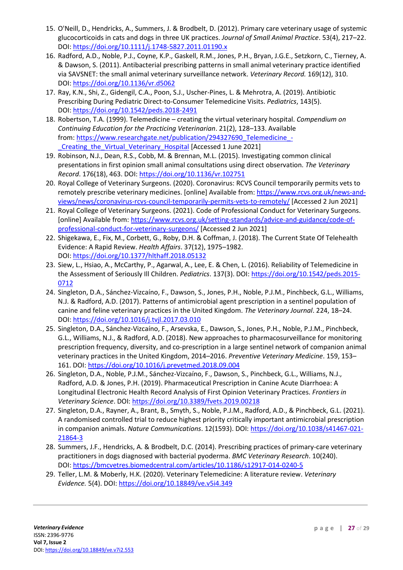- 15. O'Neill, D., Hendricks, A., Summers, J. & Brodbelt, D. (2012). Primary care veterinary usage of systemic glucocorticoids in cats and dogs in three UK practices. *Journal of Small Animal Practice*. 53(4), 217–22. DOI: <https://doi.org/10.1111/j.1748-5827.2011.01190.x>
- 16. Radford, A.D., Noble, P.J., Coyne, K.P., Gaskell, R.M., Jones, P.H., Bryan, J.G.E., Setzkorn, C., Tierney, A. & Dawson, S. (2011). Antibacterial prescribing patterns in small animal veterinary practice identified via SAVSNET: the small animal veterinary surveillance network. *Veterinary Record.* 169(12), 310. DOI: <https://doi.org/10.1136/vr.d5062>
- 17. Ray, K.N., Shi, Z., Gidengil, C.A., Poon, S.J., Uscher-Pines, L. & Mehrotra, A. (2019). Antibiotic Prescribing During Pediatric Direct-to-Consumer Telemedicine Visits. *Pediatrics*, 143(5). DOI: <https://doi.org/10.1542/peds.2018-2491>
- 18. Robertson, T.A. (1999). Telemedicine creating the virtual veterinary hospital. *Compendium on Continuing Education for the Practicing Veterinarian*. 21(2), 128–133. Available from: [https://www.researchgate.net/publication/294327690\\_Telemedicine\\_-](https://www.researchgate.net/publication/294327690_Telemedicine_-_Creating_the_Virtual_Veterinary_Hospital) Creating the Virtual Veterinary Hospital [Accessed 1 June 2021]
- 19. Robinson, N.J., Dean, R.S., Cobb, M. & Brennan, M.L. (2015). Investigating common clinical presentations in first opinion small animal consultations using direct observation. *The Veterinary Record*. 176(18), 463. DOI: <https://doi.org/10.1136/vr.102751>
- 20. Royal College of Veterinary Surgeons. (2020). Coronavirus: RCVS Council temporarily permits vets to remotely prescribe veterinary medicines. [online] Available from: [https://www.rcvs.org.uk/news-and](https://www.rcvs.org.uk/news-and-views/news/coronavirus-rcvs-council-temporarily-permits-vets-to-remotely/)[views/news/coronavirus-rcvs-council-temporarily-permits-vets-to-remotely/](https://www.rcvs.org.uk/news-and-views/news/coronavirus-rcvs-council-temporarily-permits-vets-to-remotely/) [Accessed 2 Jun 2021]
- 21. Royal College of Veterinary Surgeons. (2021). Code of Professional Conduct for Veterinary Surgeons. [online] Available from: [https://www.rcvs.org.uk/setting-standards/advice-and-guidance/code-of](https://www.rcvs.org.uk/setting-standards/advice-and-guidance/code-of-professional-conduct-for-veterinary-surgeons/)[professional-conduct-for-veterinary-surgeons/](https://www.rcvs.org.uk/setting-standards/advice-and-guidance/code-of-professional-conduct-for-veterinary-surgeons/) [Accessed 2 Jun 2021]
- 22. Shigekawa, E., Fix, M., Corbett, G., Roby, D.H. & Coffman, J. (2018). The Current State Of Telehealth Evidence: A Rapid Review. *Health Affairs*. 37(12), 1975–1982. DOI: <https://doi.org/10.1377/hlthaff.2018.05132>
- 23. Siew, L., Hsiao, A., McCarthy, P., Agarwal, A., Lee, E. & Chen, L. (2016). Reliability of Telemedicine in the Assessment of Seriously Ill Children. *Pediatrics*. 137(3). DOI: [https://doi.org/10.1542/peds.2015-](https://doi.org/10.1542/peds.2015-0712) [0712](https://doi.org/10.1542/peds.2015-0712)
- 24. Singleton, D.A., Sánchez-Vizcaíno, F., Dawson, S., Jones, P.H., Noble, P.J.M., Pinchbeck, G.L., Williams, N.J. & Radford, A.D. (2017). Patterns of antimicrobial agent prescription in a sentinel population of canine and feline veterinary practices in the United Kingdom. *The Veterinary Journal*. 224, 18–24. DOI: <https://doi.org/10.1016/j.tvjl.2017.03.010>
- 25. Singleton, D.A., Sánchez-Vizcaíno, F., Arsevska, E., Dawson, S., Jones, P.H., Noble, P.J.M., Pinchbeck, G.L., Williams, N.J., & Radford, A.D. (2018). New approaches to pharmacosurveillance for monitoring prescription frequency, diversity, and co-prescription in a large sentinel network of companion animal veterinary practices in the United Kingdom, 2014–2016. *Preventive Veterinary Medicine*. 159, 153– 161. DOI: <https://doi.org/10.1016/j.prevetmed.2018.09.004>
- 26. Singleton, D.A., Noble, P.J.M., Sánchez-Vizcaíno, F., Dawson, S., Pinchbeck, G.L., Williams, N.J., Radford, A.D. & Jones, P.H. (2019). Pharmaceutical Prescription in Canine Acute Diarrhoea: A Longitudinal Electronic Health Record Analysis of First Opinion Veterinary Practices. *Frontiers in Veterinary Science*. DOI: <https://doi.org/10.3389/fvets.2019.00218>
- 27. Singleton, D.A., Rayner, A., Brant, B., Smyth, S., Noble, P.J.M., Radford, A.D., & Pinchbeck, G.L. (2021). A randomised controlled trial to reduce highest priority critically important antimicrobial prescription in companion animals. *Nature Communications*. 12(1593). DOI: [https://doi.org/10.1038/s41467-021-](https://doi.org/10.1038/s41467-021-21864-3) [21864-3](https://doi.org/10.1038/s41467-021-21864-3)
- 28. Summers, J.F., Hendricks, A. & Brodbelt, D.C. (2014). Prescribing practices of primary-care veterinary practitioners in dogs diagnosed with bacterial pyoderma. *BMC Veterinary Research*. 10(240). DOI: <https://bmcvetres.biomedcentral.com/articles/10.1186/s12917-014-0240-5>
- 29. Teller, L.M. & Moberly, H.K. (2020). Veterinary Telemedicine: A literature review. *Veterinary Evidence.* 5(4). DOI: <https://doi.org/10.18849/ve.v5i4.349>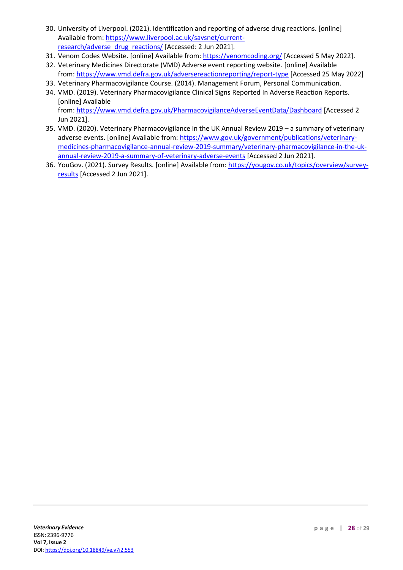- 30. University of Liverpool. (2021). Identification and reporting of adverse drug reactions. [online] Available from: [https://www.liverpool.ac.uk/savsnet/current](https://www.liverpool.ac.uk/savsnet/current-research/adverse_drug_reactions/)[research/adverse\\_drug\\_reactions/](https://www.liverpool.ac.uk/savsnet/current-research/adverse_drug_reactions/) [Accessed: 2 Jun 2021].
- 31. Venom Codes Website. [online] Available from: <https://venomcoding.org/> [Accessed 5 May 2022].
- 32. Veterinary Medicines Directorate (VMD) Adverse event reporting website. [online] Available from: <https://www.vmd.defra.gov.uk/adversereactionreporting/report-type> [Accessed 25 May 2022]
- 33. Veterinary Pharmacovigilance Course. (2014). Management Forum, Personal Communication.
- 34. VMD. (2019). Veterinary Pharmacovigilance Clinical Signs Reported In Adverse Reaction Reports. [online] Available from: <https://www.vmd.defra.gov.uk/PharmacovigilanceAdverseEventData/Dashboard> [Accessed 2 Jun 2021].
- 35. VMD. (2020). Veterinary Pharmacovigilance in the UK Annual Review 2019 a summary of veterinary adverse events. [online] Available from: [https://www.gov.uk/government/publications/veterinary](https://www.gov.uk/government/publications/veterinary-medicines-pharmacovigilance-annual-review-2019-summary/veterinary-pharmacovigilance-in-the-uk-annual-review-2019-a-summary-of-veterinary-adverse-events)[medicines-pharmacovigilance-annual-review-2019-summary/veterinary-pharmacovigilance-in-the-uk](https://www.gov.uk/government/publications/veterinary-medicines-pharmacovigilance-annual-review-2019-summary/veterinary-pharmacovigilance-in-the-uk-annual-review-2019-a-summary-of-veterinary-adverse-events)[annual-review-2019-a-summary-of-veterinary-adverse-events](https://www.gov.uk/government/publications/veterinary-medicines-pharmacovigilance-annual-review-2019-summary/veterinary-pharmacovigilance-in-the-uk-annual-review-2019-a-summary-of-veterinary-adverse-events) [Accessed 2 Jun 2021].
- 36. YouGov. (2021). Survey Results. [online] Available from: [https://yougov.co.uk/topics/overview/survey](https://yougov.co.uk/topics/overview/survey-results)[results](https://yougov.co.uk/topics/overview/survey-results) [Accessed 2 Jun 2021].